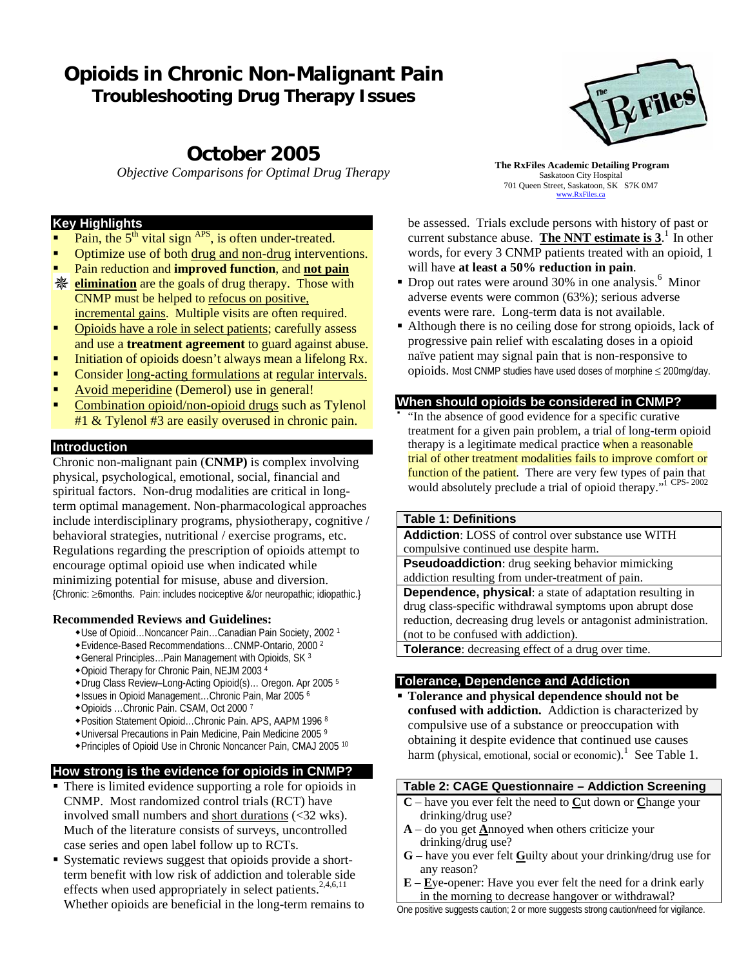# **Opioids in Chronic Non-Malignant Pain Troubleshooting Drug Therapy Issues**

# **October 2005**

*Objective Comparisons for Optimal Drug Therapy* **The RxFiles Academic Detailing Program** 

## **Key Highlights**

- Pain, the  $5<sup>th</sup>$  vital sign  $AP^S$ , is often under-treated.
- Optimize use of both drug and non-drug interventions.
- Pain reduction and **improved function**, and **not pain**
- **Elimination** are the goals of drug therapy. Those with CNMP must be helped to refocus on positive, incremental gains. Multiple visits are often required.
- Opioids have a role in select patients; carefully assess and use a **treatment agreement** to guard against abuse.
- Initiation of opioids doesn't always mean a lifelong Rx.
- Consider long-acting formulations at regular intervals.
- Avoid meperidine (Demerol) use in general!
- Combination opioid/non-opioid drugs such as Tylenol #1 & Tylenol #3 are easily overused in chronic pain.

# **Introduction**

Chronic non-malignant pain (**CNMP)** is complex involving physical, psychological, emotional, social, financial and spiritual factors. Non-drug modalities are critical in longterm optimal management. Non-pharmacological approaches include interdisciplinary programs, physiotherapy, cognitive / behavioral strategies, nutritional / exercise programs, etc. Regulations regarding the prescription of opioids attempt to encourage optimal opioid use when indicated while minimizing potential for misuse, abuse and diversion. {Chronic: ≥6months. Pain: includes nociceptive &/or neuropathic; idiopathic.}

#### **Recommended Reviews and Guidelines:**

- Use of Opioid…Noncancer Pain…Canadian Pain Society, 2002 1
- Evidence-Based Recommendations…CNMP-Ontario, 2000 2
- General Principles…Pain Management with Opioids, SK 3
- Opioid Therapy for Chronic Pain, NEJM 2003 4
- Drug Class Review–Long-Acting Opioid(s)… Oregon. Apr 2005 5
- Issues in Opioid Management…Chronic Pain, Mar 2005 6
- Opioids …Chronic Pain. CSAM, Oct 2000 7
- Position Statement Opioid…Chronic Pain. APS, AAPM 1996 8
- Universal Precautions in Pain Medicine, Pain Medicine 2005 9
- Principles of Opioid Use in Chronic Noncancer Pain, CMAJ 2005 10

# **How strong is the evidence for opioids in CNMP?**

- There is limited evidence supporting a role for opioids in CNMP. Most randomized control trials (RCT) have involved small numbers and short durations (<32 wks). Much of the literature consists of surveys, uncontrolled case series and open label follow up to RCTs.
- Systematic reviews suggest that opioids provide a shortterm benefit with low risk of addiction and tolerable side effects when used appropriately in select patients.<sup>2,4,6,11</sup> Whether opioids are beneficial in the long-term remains to



Saskatoon City Hospital 701 Queen Street, Saskatoon, SK S7K 0M7 www.RxFiles.ca

be assessed. Trials exclude persons with history of past or current substance abuse. The NNT estimate is  $3<sup>1</sup>$  In other words, for every 3 CNMP patients treated with an opioid, 1 will have **at least a 50% reduction in pain**.

- Drop out rates were around 30% in one analysis.<sup>6</sup> Minor adverse events were common (63%); serious adverse events were rare. Long-term data is not available.
- Although there is no ceiling dose for strong opioids, lack of progressive pain relief with escalating doses in a opioid naïve patient may signal pain that is non-responsive to opioids. Most CNMP studies have used doses of morphine ≤ 200mg/day.

#### **When should opioids be considered in CNMP?**

 "In the absence of good evidence for a specific curative treatment for a given pain problem, a trial of long-term opioid therapy is a legitimate medical practice when a reasonable trial of other treatment modalities fails to improve comfort or function of the patient. There are very few types of pain that would absolutely preclude a trial of opioid therapy."1 CPS- 2002

#### **Table 1: Definitions**

**Addiction**: LOSS of control over substance use WITH compulsive continued use despite harm.

**Pseudoaddiction**: drug seeking behavior mimicking addiction resulting from under-treatment of pain.

**Dependence, physical**: a state of adaptation resulting in drug class-specific withdrawal symptoms upon abrupt dose reduction, decreasing drug levels or antagonist administration. (not to be confused with addiction).

**Tolerance**: decreasing effect of a drug over time.

# **Tolerance, Dependence and Addiction**

 **Tolerance and physical dependence should not be confused with addiction.** Addiction is characterized by compulsive use of a substance or preoccupation with obtaining it despite evidence that continued use causes harm (physical, emotional, social or economic).<sup>1</sup> See Table 1.

#### **Table 2: CAGE Questionnaire – Addiction Screening**

- **C** have you ever felt the need to **C**ut down or **C**hange your drinking/drug use?
- **A** do you get **A**nnoyed when others criticize your drinking/drug use?
- **G** have you ever felt **G**uilty about your drinking/drug use for any reason?
- **E E**ye-opener: Have you ever felt the need for a drink early in the morning to decrease hangover or withdrawal?

One positive suggests caution; 2 or more suggests strong caution/need for vigilance.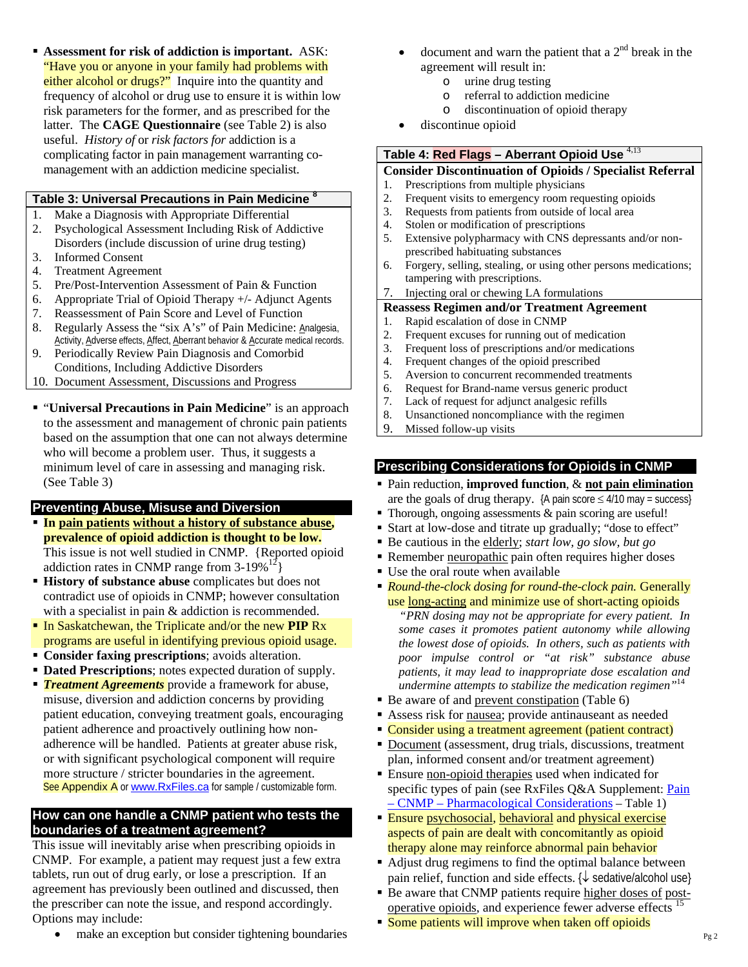**Assessment for risk of addiction is important.** ASK: "Have you or anyone in your family had problems with either alcohol or drugs?"Inquire into the quantity and frequency of alcohol or drug use to ensure it is within low risk parameters for the former, and as prescribed for the latter. The **CAGE Questionnaire** (see Table 2) is also useful. *History of* or *risk factors for* addiction is a complicating factor in pain management warranting comanagement with an addiction medicine specialist.

#### **Table 3: Universal Precautions in Pain Medicine <sup>8</sup>**

- 1. Make a Diagnosis with Appropriate Differential
- 2. Psychological Assessment Including Risk of Addictive Disorders (include discussion of urine drug testing) 3. Informed Consent
- 4. Treatment Agreement
- 5. Pre/Post-Intervention Assessment of Pain & Function
- 6. Appropriate Trial of Opioid Therapy +/- Adjunct Agents
- 7. Reassessment of Pain Score and Level of Function
- 8. Regularly Assess the "six A's" of Pain Medicine: Analgesia, Activity, Adverse effects, Affect, Aberrant behavior & Accurate medical records.
- 9. Periodically Review Pain Diagnosis and Comorbid Conditions, Including Addictive Disorders
- 10. Document Assessment, Discussions and Progress
- "**Universal Precautions in Pain Medicine**" is an approach to the assessment and management of chronic pain patients based on the assumption that one can not always determine who will become a problem user. Thus, it suggests a minimum level of care in assessing and managing risk. (See Table 3)

# **Preventing Abuse, Misuse and Diversion**

- **In pain patients without a history of substance abuse, prevalence of opioid addiction is thought to be low.** This issue is not well studied in CNMP. {Reported opioid addiction rates in CNMP range from  $3-19\%^{12}$
- **History of substance abuse** complicates but does not contradict use of opioids in CNMP; however consultation with a specialist in pain & addiction is recommended.
- In Saskatchewan, the Triplicate and/or the new **PIP** Rx programs are useful in identifying previous opioid usage.
- **Consider faxing prescriptions**; avoids alteration.
- **Dated Prescriptions**; notes expected duration of supply.
- **Treatment Agreements** provide a framework for abuse, misuse, diversion and addiction concerns by providing patient education, conveying treatment goals, encouraging patient adherence and proactively outlining how nonadherence will be handled. Patients at greater abuse risk, or with significant psychological component will require more structure / stricter boundaries in the agreement. See Appendix A or www.RxFiles.ca for sample / customizable form.

# **How can one handle a CNMP patient who tests the boundaries of a treatment agreement?**

This issue will inevitably arise when prescribing opioids in CNMP. For example, a patient may request just a few extra tablets, run out of drug early, or lose a prescription. If an agreement has previously been outlined and discussed, then the prescriber can note the issue, and respond accordingly. Options may include:

make an exception but consider tightening boundaries

- document and warn the patient that a  $2<sup>nd</sup>$  break in the agreement will result in:
	- o urine drug testing
	- o referral to addiction medicine
	- o discontinuation of opioid therapy
- discontinue opioid

# **Table 4: Red Flags – Aberrant Opioid Use** 4,13

## **Consider Discontinuation of Opioids / Specialist Referral**

- 1. Prescriptions from multiple physicians
- 2. Frequent visits to emergency room requesting opioids<br>3. Requests from patients from outside of local area
- Requests from patients from outside of local area
- 4. Stolen or modification of prescriptions
- 5. Extensive polypharmacy with CNS depressants and/or nonprescribed habituating substances
- 6. Forgery, selling, stealing, or using other persons medications; tampering with prescriptions.
- 7. Injecting oral or chewing LA formulations

#### **Reassess Regimen and/or Treatment Agreement**

- 1. Rapid escalation of dose in CNMP
- 2. Frequent excuses for running out of medication<br>3. Frequent loss of prescriptions and/or medication
- 3. Frequent loss of prescriptions and/or medications
- 4. Frequent changes of the opioid prescribed
- 5. Aversion to concurrent recommended treatments
- 6. Request for Brand-name versus generic product
- 7. Lack of request for adjunct analgesic refills
- 8. Unsanctioned noncompliance with the regimen
- 9. Missed follow-up visits

#### **Prescribing Considerations for Opioids in CNMP**

- Pain reduction, **improved function**, & **not pain elimination** are the goals of drug therapy.  ${A}$  pain score  $\leq 4/10$  may = success}
- Thorough, ongoing assessments & pain scoring are useful!
- Start at low-dose and titrate up gradually; "dose to effect"
- Be cautious in the elderly; *start low, go slow, but go*
- Remember neuropathic pain often requires higher doses
- Use the oral route when available
- *Round-the-clock dosing for round-the-clock pain.* Generally use long-acting and minimize use of short-acting opioids

 *"PRN dosing may not be appropriate for every patient. In some cases it promotes patient autonomy while allowing the lowest dose of opioids. In others, such as patients with poor impulse control or "at risk" substance abuse patients, it may lead to inappropriate dose escalation and undermine attempts to stabilize the medication regimen"*<sup>14</sup>

- Be aware of and prevent constipation (Table 6)
- Assess risk for nausea; provide antinauseant as needed
- Consider using a treatment agreement (patient contract)
- Document (assessment, drug trials, discussions, treatment plan, informed consent and/or treatment agreement)
- Ensure non-opioid therapies used when indicated for specific types of pain (see RxFiles Q&A Supplement: Pain – CNMP – Pharmacological Considerations *–* Table 1)
- **Ensure psychosocial, behavioral and physical exercise** aspects of pain are dealt with concomitantly as opioid therapy alone may reinforce abnormal pain behavior
- Adjust drug regimens to find the optimal balance between pain relief, function and side effects. {↓ sedative/alcohol use}
- Be aware that CNMP patients require higher doses of postoperative opioids, and experience fewer adverse effects<sup>15</sup>
- Some patients will improve when taken off opioids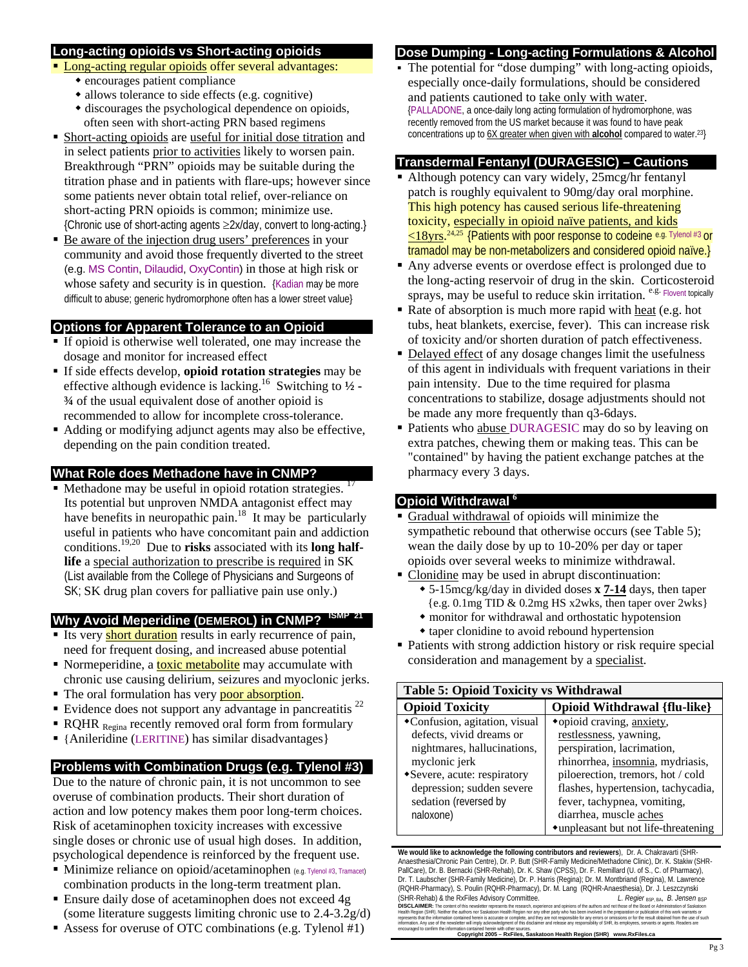## **Long-acting opioids vs Short-acting opioids**

- **Long-acting regular opioids offer several advantages:** 
	- encourages patient compliance
	- allows tolerance to side effects (e.g. cognitive)
	- discourages the psychological dependence on opioids, often seen with short-acting PRN based regimens
- Short-acting opioids are useful for initial dose titration and in select patients prior to activities likely to worsen pain. Breakthrough "PRN" opioids may be suitable during the titration phase and in patients with flare-ups; however since some patients never obtain total relief, over-reliance on short-acting PRN opioids is common; minimize use. {Chronic use of short-acting agents ≥2x/day, convert to long-acting.}
- Be aware of the injection drug users' preferences in your community and avoid those frequently diverted to the street (e.g. MS Contin, Dilaudid, OxyContin) in those at high risk or whose safety and security is in question. {Kadian may be more difficult to abuse; generic hydromorphone often has a lower street value}

# **Options for Apparent Tolerance to an Opioid**

- If opioid is otherwise well tolerated, one may increase the dosage and monitor for increased effect
- If side effects develop, **opioid rotation strategies** may be effective although evidence is lacking.<sup>16</sup> Switching to  $\frac{1}{2}$  -**¾** of the usual equivalent dose of another opioid is recommended to allow for incomplete cross-tolerance.
- Adding or modifying adjunct agents may also be effective, depending on the pain condition treated.

# **What Role does Methadone have in CNMP?**

Methadone may be useful in opioid rotation strategies. Its potential but unproven NMDA antagonist effect may have benefits in neuropathic pain.<sup>18</sup> It may be particularly useful in patients who have concomitant pain and addiction conditions.19,20 Due to **risks** associated with its **long halflife** a special authorization to prescribe is required in SK (List available from the College of Physicians and Surgeons of SK; SK drug plan covers for palliative pain use only.)

# **Why Avoid Meperidine (DEMEROL) in CNMP? ISMP 21**

- Its very **short duration** results in early recurrence of pain, need for frequent dosing, and increased abuse potential
- Normeperidine, a **toxic metabolite** may accumulate with chronic use causing delirium, seizures and myoclonic jerks.
- The oral formulation has very poor absorption.
- Evidence does not support any advantage in pancreatitis  $^{22}$
- $\blacksquare$  RQHR <sub>Regina</sub> recently removed oral form from formulary
- {Anileridine (LERITINE) has similar disadvantages}

# **Problems with Combination Drugs (e.g. Tylenol #3)**

Due to the nature of chronic pain, it is not uncommon to see overuse of combination products. Their short duration of action and low potency makes them poor long-term choices. Risk of acetaminophen toxicity increases with excessive single doses or chronic use of usual high doses. In addition, psychological dependence is reinforced by the frequent use.

- $\blacksquare$  Minimize reliance on opioid/acetaminophen (e.g. Tylenol #3, Tramacet) combination products in the long-term treatment plan.
- Ensure daily dose of acetaminophen does not exceed 4g (some literature suggests limiting chronic use to 2.4-3.2g/d)
- Assess for overuse of OTC combinations (e.g. Tylenol #1)

# **Dose Dumping - Long-acting Formulations & Alcohol**

 The potential for "dose dumping" with long-acting opioids, especially once-daily formulations, should be considered and patients cautioned to take only with water. {PALLADONE, a once-daily long acting formulation of hydromorphone, was recently removed from the US market because it was found to have peak concentrations up to 6X greater when given with **alcohol** compared to water.23}

# **Transdermal Fentanyl (DURAGESIC) – Cautions**

- Although potency can vary widely, 25mcg/hr fentanyl patch is roughly equivalent to 90mg/day oral morphine. This high potency has caused serious life-threatening toxicity, especially in opioid naïve patients, and kids  $\leq$ 18yrs.<sup>24,25</sup> {Patients with poor response to codeine e.g. Tylenol #3 or tramadol may be non-metabolizers and considered opioid naïve.}
- Any adverse events or overdose effect is prolonged due to the long-acting reservoir of drug in the skin. Corticosteroid sprays, may be useful to reduce skin irritation.  $e.g.$  Flovent topically
- Rate of absorption is much more rapid with heat (e.g. hot tubs, heat blankets, exercise, fever). This can increase risk of toxicity and/or shorten duration of patch effectiveness.
- Delayed effect of any dosage changes limit the usefulness of this agent in individuals with frequent variations in their pain intensity. Due to the time required for plasma concentrations to stabilize, dosage adjustments should not be made any more frequently than q3-6days.
- Patients who abuse DURAGESIC may do so by leaving on extra patches, chewing them or making teas. This can be "contained" by having the patient exchange patches at the pharmacy every 3 days.

# **Opioid Withdrawal <sup>6</sup>**

- Gradual withdrawal of opioids will minimize the sympathetic rebound that otherwise occurs (see Table 5); wean the daily dose by up to 10-20% per day or taper opioids over several weeks to minimize withdrawal.
- Clonidine may be used in abrupt discontinuation:
	- 5-15mcg/kg/day in divided doses **x 7-14** days, then taper {e.g. 0.1mg TID & 0.2mg HS x2wks, then taper over 2wks}
	- monitor for withdrawal and orthostatic hypotension
	- taper clonidine to avoid rebound hypertension
- Patients with strong addiction history or risk require special consideration and management by a specialist.

| <b>Table 5: Opioid Toxicity vs Withdrawal</b> |                                       |  |
|-----------------------------------------------|---------------------------------------|--|
| <b>Opioid Toxicity</b>                        | <b>Opioid Withdrawal {flu-like}</b>   |  |
| •Confusion, agitation, visual                 | *opioid craving, anxiety,             |  |
| defects, vivid dreams or                      | restlessness, yawning,                |  |
| nightmares, hallucinations,                   | perspiration, lacrimation,            |  |
| myclonic jerk                                 | rhinorrhea, insomnia, mydriasis,      |  |
| • Severe, acute: respiratory                  | piloerection, tremors, hot / cold     |  |
| depression; sudden severe                     | flashes, hypertension, tachycadia,    |  |
| sedation (reversed by                         | fever, tachypnea, vomiting,           |  |
| naloxone)                                     | diarrhea, muscle aches                |  |
|                                               | • unpleasant but not life-threatening |  |

**We would like to acknowledge the following contributors and reviewers**), Dr. A. Chakravarti (SHR-Anaesthesia/Chronic Pain Centre), Dr. P. Butt (SHR-Family Medicine/Methadone Clinic), Dr. K. Stakiw (SHR-PallCare), Dr. B. Bernacki (SHR-Rehab), Dr. K. Shaw (CPSS), Dr. F. Remillard (U. of S., C. of Pharmacy), Dr. T. Laubscher (SHR-Family Medicine), Dr. P. Harris (Regina); Dr. M. Montbriand (Regina), M. Lawrence (RQHR-Pharmacy), S. Poulin (RQHR-Pharmacy), Dr. M. Lang (RQHR-Anaesthesia), Dr. J. Leszczynski (SHR-Rehab) & the RxFiles Advisory Committee. *L. Regier* BSP, BA, *B. Jensen* BSP

**DISCLAIMER:** The content of this newsletter represents the research, experience and ophions of the authors and not the Board or Administration of Saskatoon<br>Heath Region (SHR), Neither the authors nor Saskatoon Health Regi nation contained nerein with other sources.<br>**Copyright 2005 – RxFiles, Saskatoon Health Region (SHR) www.RxFiles.ca**